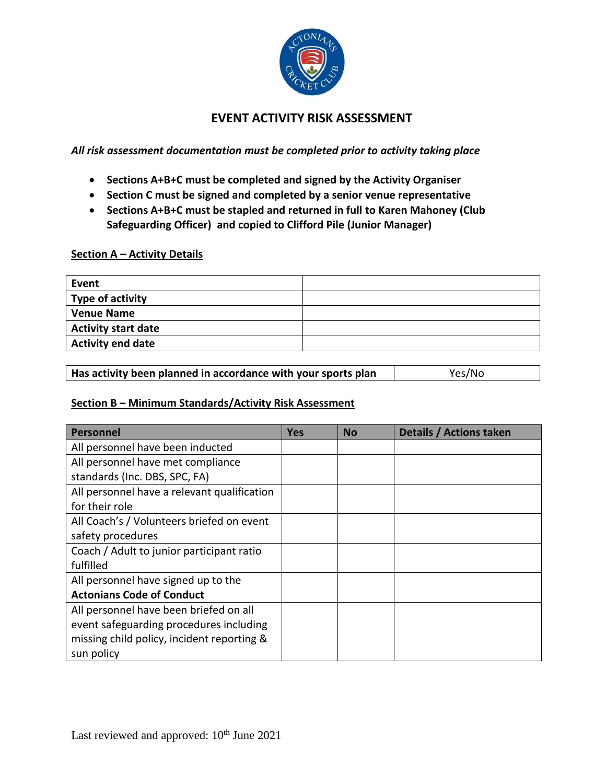

# **EVENT ACTIVITY RISK ASSESSMENT**

*All risk assessment documentation must be completed prior to activity taking place*

- **Sections A+B+C must be completed and signed by the Activity Organiser**
- **Section C must be signed and completed by a senior venue representative**
- **Sections A+B+C must be stapled and returned in full to Karen Mahoney (Club Safeguarding Officer) and copied to Clifford Pile (Junior Manager)**

### **Section A – Activity Details**

| Event                      |  |
|----------------------------|--|
| Type of activity           |  |
| <b>Venue Name</b>          |  |
| <b>Activity start date</b> |  |
| <b>Activity end date</b>   |  |

| Has activity been planned in accordance with your sports plan | Yes/No |
|---------------------------------------------------------------|--------|
|---------------------------------------------------------------|--------|

## **Section B – Minimum Standards/Activity Risk Assessment**

| <b>Personnel</b>                            | <b>Yes</b> | <b>No</b> | Details / Actions taken |
|---------------------------------------------|------------|-----------|-------------------------|
| All personnel have been inducted            |            |           |                         |
| All personnel have met compliance           |            |           |                         |
| standards (Inc. DBS, SPC, FA)               |            |           |                         |
| All personnel have a relevant qualification |            |           |                         |
| for their role                              |            |           |                         |
| All Coach's / Volunteers briefed on event   |            |           |                         |
| safety procedures                           |            |           |                         |
| Coach / Adult to junior participant ratio   |            |           |                         |
| fulfilled                                   |            |           |                         |
| All personnel have signed up to the         |            |           |                         |
| <b>Actonians Code of Conduct</b>            |            |           |                         |
| All personnel have been briefed on all      |            |           |                         |
| event safeguarding procedures including     |            |           |                         |
| missing child policy, incident reporting &  |            |           |                         |
| sun policy                                  |            |           |                         |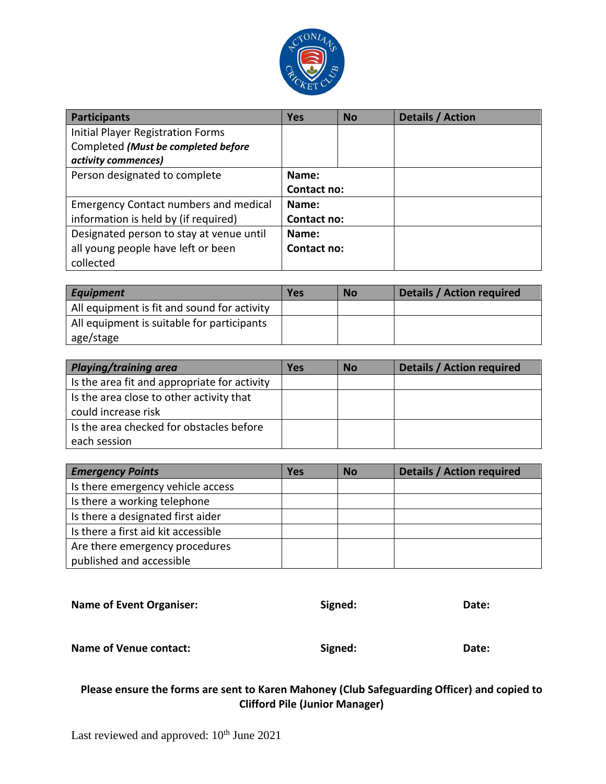

| <b>Participants</b>                          | <b>Yes</b>  | <b>No</b> | Details / Action |
|----------------------------------------------|-------------|-----------|------------------|
| <b>Initial Player Registration Forms</b>     |             |           |                  |
| Completed (Must be completed before          |             |           |                  |
| activity commences)                          |             |           |                  |
| Person designated to complete                | Name:       |           |                  |
|                                              | Contact no: |           |                  |
| <b>Emergency Contact numbers and medical</b> | Name:       |           |                  |
| information is held by (if required)         | Contact no: |           |                  |
| Designated person to stay at venue until     | Name:       |           |                  |
| all young people have left or been           | Contact no: |           |                  |
| collected                                    |             |           |                  |

| Equipment                                   | Yes | <b>No</b> | <b>Details / Action required</b> |
|---------------------------------------------|-----|-----------|----------------------------------|
| All equipment is fit and sound for activity |     |           |                                  |
| All equipment is suitable for participants  |     |           |                                  |
| age/stage                                   |     |           |                                  |

| <b>Playing/training area</b>                                    | <b>Yes</b> | <b>No</b> | <b>Details / Action required</b> |
|-----------------------------------------------------------------|------------|-----------|----------------------------------|
| Is the area fit and appropriate for activity                    |            |           |                                  |
| Is the area close to other activity that<br>could increase risk |            |           |                                  |
| Is the area checked for obstacles before<br>each session        |            |           |                                  |

| <b>Emergency Points</b>             | Yes | <b>No</b> | <b>Details / Action required</b> |
|-------------------------------------|-----|-----------|----------------------------------|
| Is there emergency vehicle access   |     |           |                                  |
| Is there a working telephone        |     |           |                                  |
| Is there a designated first aider   |     |           |                                  |
| Is there a first aid kit accessible |     |           |                                  |
| Are there emergency procedures      |     |           |                                  |
| published and accessible            |     |           |                                  |

| <b>Name of Event Organiser:</b> | Signed: | Date: |
|---------------------------------|---------|-------|
| Name of Venue contact:          | Signed: | Date: |

# **Please ensure the forms are sent to Karen Mahoney (Club Safeguarding Officer) and copied to Clifford Pile (Junior Manager)**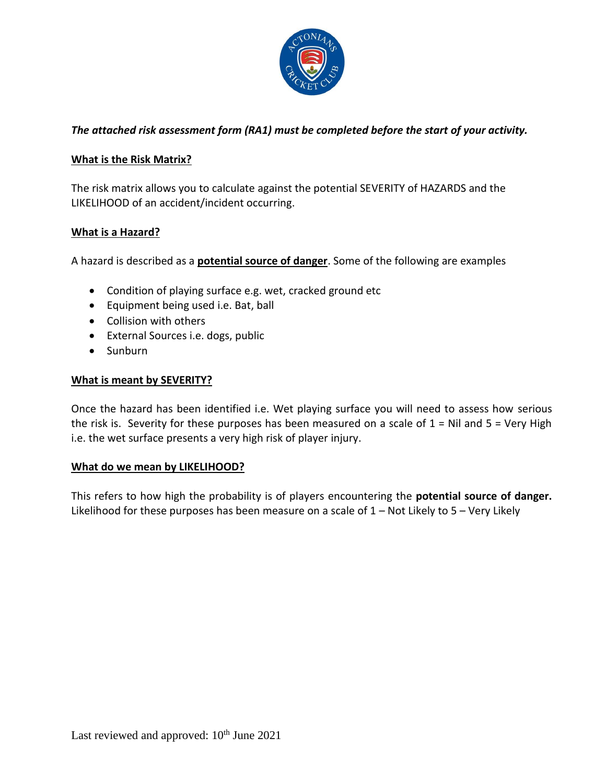

## *The attached risk assessment form (RA1) must be completed before the start of your activity.*

## **What is the Risk Matrix?**

The risk matrix allows you to calculate against the potential SEVERITY of HAZARDS and the LIKELIHOOD of an accident/incident occurring.

## **What is a Hazard?**

A hazard is described as a **potential source of danger**. Some of the following are examples

- Condition of playing surface e.g. wet, cracked ground etc
- Equipment being used i.e. Bat, ball
- Collision with others
- External Sources i.e. dogs, public
- Sunburn

### **What is meant by SEVERITY?**

Once the hazard has been identified i.e. Wet playing surface you will need to assess how serious the risk is. Severity for these purposes has been measured on a scale of  $1 = Nil$  and  $5 = Very$  High i.e. the wet surface presents a very high risk of player injury.

#### **What do we mean by LIKELIHOOD?**

This refers to how high the probability is of players encountering the **potential source of danger.** Likelihood for these purposes has been measure on a scale of  $1 -$  Not Likely to  $5 -$  Very Likely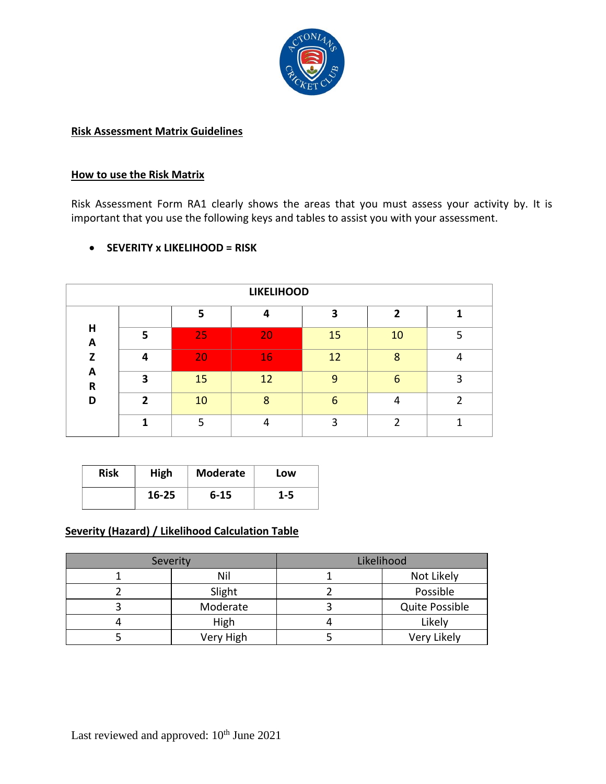

### **Risk Assessment Matrix Guidelines**

## **How to use the Risk Matrix**

Risk Assessment Form RA1 clearly shows the areas that you must assess your activity by. It is important that you use the following keys and tables to assist you with your assessment.

|                   | <b>LIKELIHOOD</b> |    |    |    |    |   |
|-------------------|-------------------|----|----|----|----|---|
|                   |                   | 5. |    | 3  | 2  |   |
| H<br>A            | 5                 | 25 | 20 | 15 | 10 |   |
| z                 | 4                 | 20 | 16 | 12 | 8  |   |
| A<br>$\mathsf{R}$ | З                 | 15 | 12 | q  | 6  | э |
| D                 | $\mathbf{z}$      | 10 | 8  | 6  |    |   |
|                   |                   |    |    | ς  |    |   |

## **SEVERITY x LIKELIHOOD = RISK**

| <b>Risk</b> | High  | <b>Moderate</b> | Low     |
|-------------|-------|-----------------|---------|
|             | 16-25 | $6 - 15$        | $1 - 5$ |

## **Severity (Hazard) / Likelihood Calculation Table**

| Severity  | Likelihood            |
|-----------|-----------------------|
| Nil       | Not Likely            |
| Slight    | Possible              |
| Moderate  | <b>Quite Possible</b> |
| High      | Likely                |
| Very High | Very Likely           |